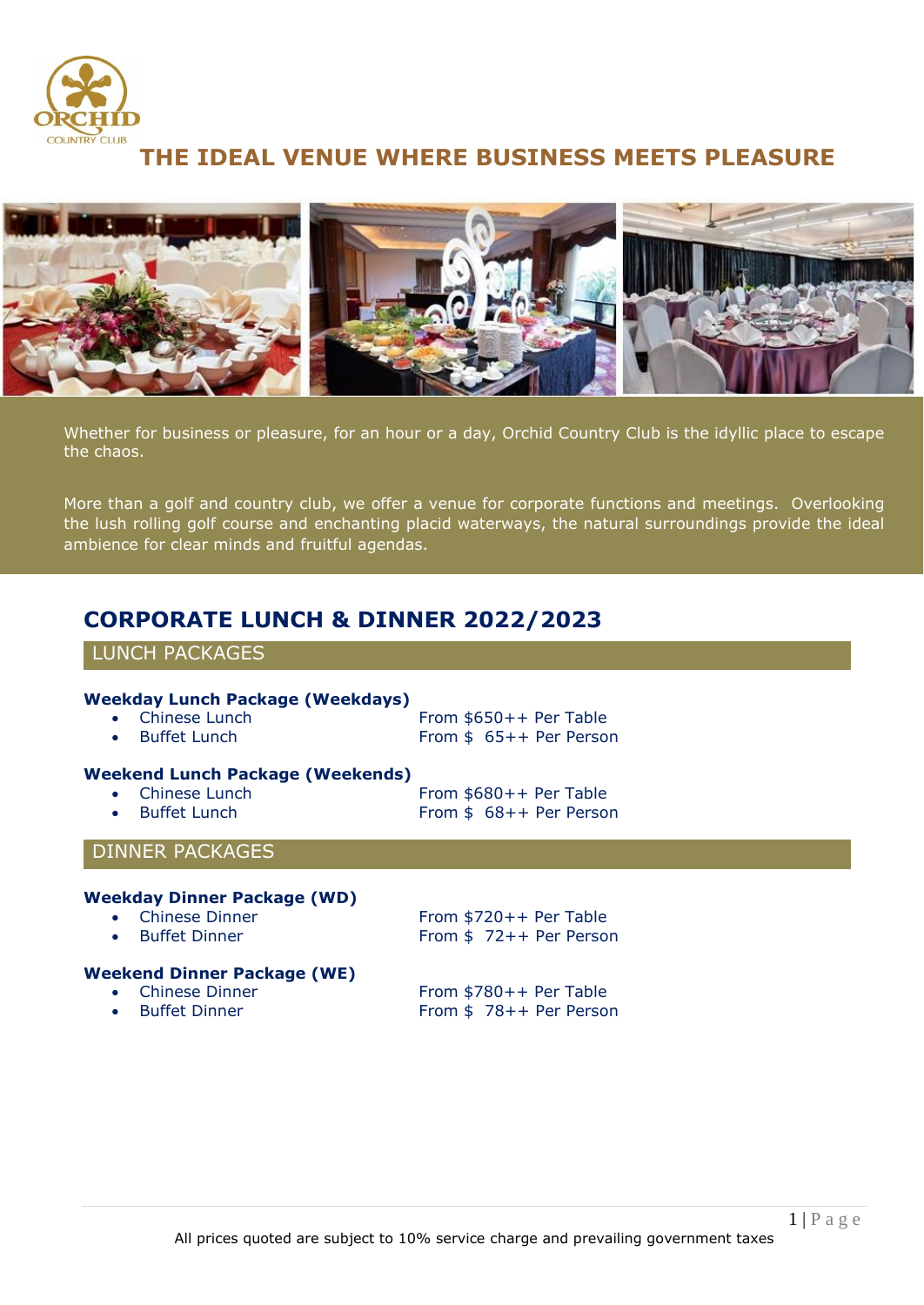

### **THE IDEAL VENUE WHERE BUSINESS MEETS PLEASURE**



Whether for business or pleasure, for an hour or a day, Orchid Country Club is the idyllic place to escape the chaos.

More than a golf and country club, we offer a venue for corporate functions and meetings. Overlooking the lush rolling golf course and enchanting placid waterways, the natural surroundings provide the ideal ambience for clear minds and fruitful agendas.

### **CORPORATE LUNCH & DINNER 2022/2023**

#### LUNCH PACKAGES

#### **Weekday Lunch Package (Weekdays)**

| Chinese Lunch | From $$650++$ Per Table  |
|---------------|--------------------------|
| Buffet Lunch  | From $$$ 65++ Per Person |

#### **Weekend Lunch Package (Weekends)**

• Chinese Lunch From \$680++ Per Table From  $$68++$  Per Person

#### DINNER PACKAGES

#### **Weekday Dinner Package (WD)**

- Chinese Dinner From \$720++ Per Table • Buffet Dinner From \$ 72++ Per Person
- 

#### **Weekend Dinner Package (WE)**

- 
- 

• Chinese Dinner From \$780++ Per Table<br>• Buffet Dinner From \$78++ Per Person From  $$78++$  Per Person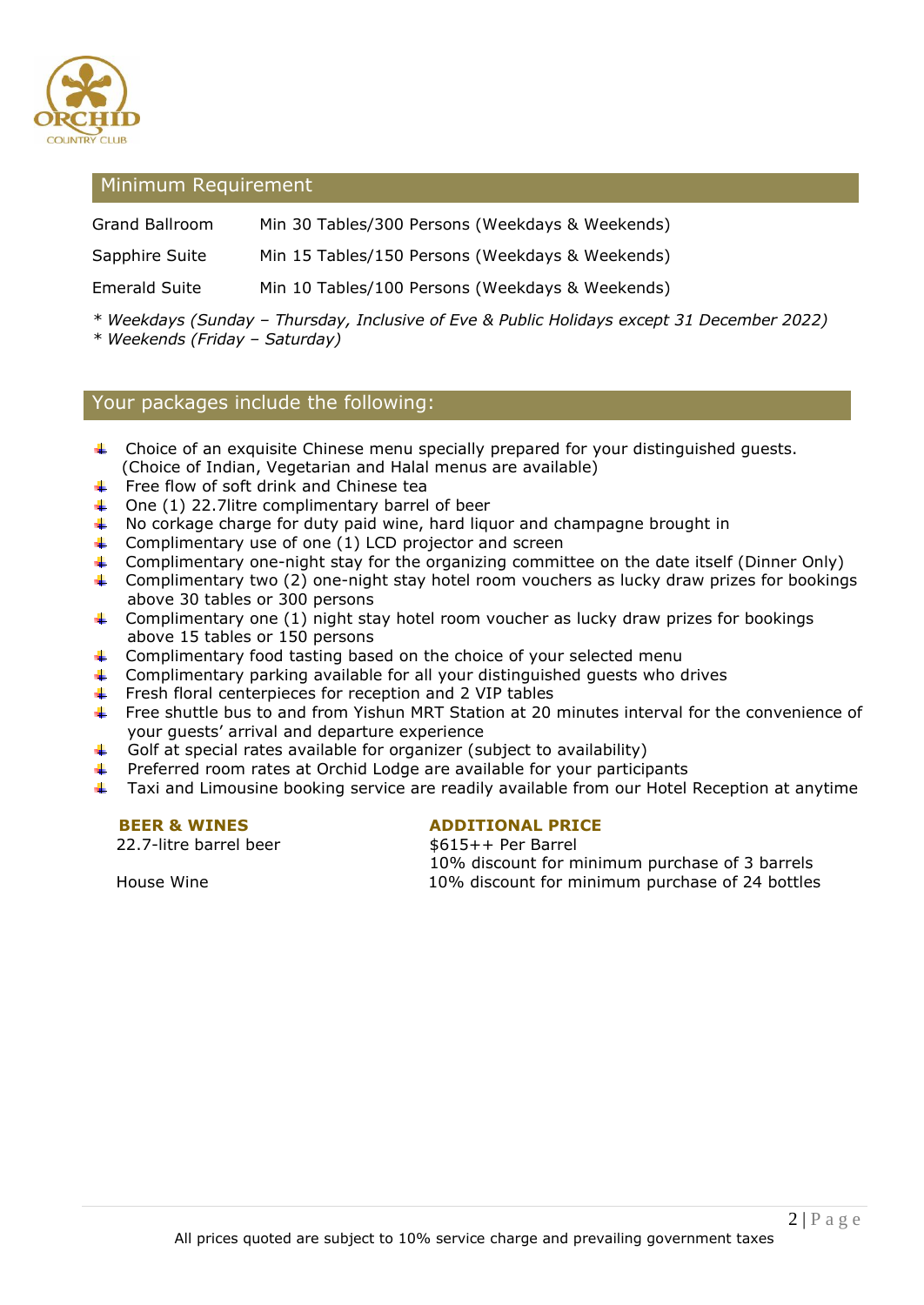

#### Minimum Requirement

| Grand Ballroom       | Min 30 Tables/300 Persons (Weekdays & Weekends) |
|----------------------|-------------------------------------------------|
| Sapphire Suite       | Min 15 Tables/150 Persons (Weekdays & Weekends) |
| <b>Emerald Suite</b> | Min 10 Tables/100 Persons (Weekdays & Weekends) |

*\* Weekdays (Sunday – Thursday, Inclusive of Eve & Public Holidays except 31 December 2022)*

*\* Weekends (Friday – Saturday)*

#### Your packages include the following:

- ↓ Choice of an exquisite Chinese menu specially prepared for your distinguished guests. (Choice of Indian, Vegetarian and Halal menus are available)
- $\leftarrow$  Free flow of soft drink and Chinese tea
- $\downarrow$  One (1) 22.7 litre complimentary barrel of beer
- ₩. No corkage charge for duty paid wine, hard liquor and champagne brought in
- ₩. Complimentary use of one (1) LCD projector and screen
- ₩. Complimentary one-night stay for the organizing committee on the date itself (Dinner Only)
- Complimentary two (2) one-night stay hotel room vouchers as lucky draw prizes for bookings above 30 tables or 300 persons
- $\uparrow$  Complimentary one (1) night stay hotel room voucher as lucky draw prizes for bookings above 15 tables or 150 persons
- ₩. Complimentary food tasting based on the choice of your selected menu
- ۰. Complimentary parking available for all your distinguished guests who drives
- $\div$  Fresh floral centerpieces for reception and 2 VIP tables
- Free shuttle bus to and from Yishun MRT Station at 20 minutes interval for the convenience of your guests' arrival and departure experience
- a. Golf at special rates available for organizer (subject to availability)
- Preferred room rates at Orchid Lodge are available for your participants
- Taxi and Limousine booking service are readily available from our Hotel Reception at anytime

 $22.7$ -litre barrel beer  $$615++$  Per Barrel

#### **BEER & WINES ADDITIONAL PRICE**

 10% discount for minimum purchase of 3 barrels House Wine 10% discount for minimum purchase of 24 bottles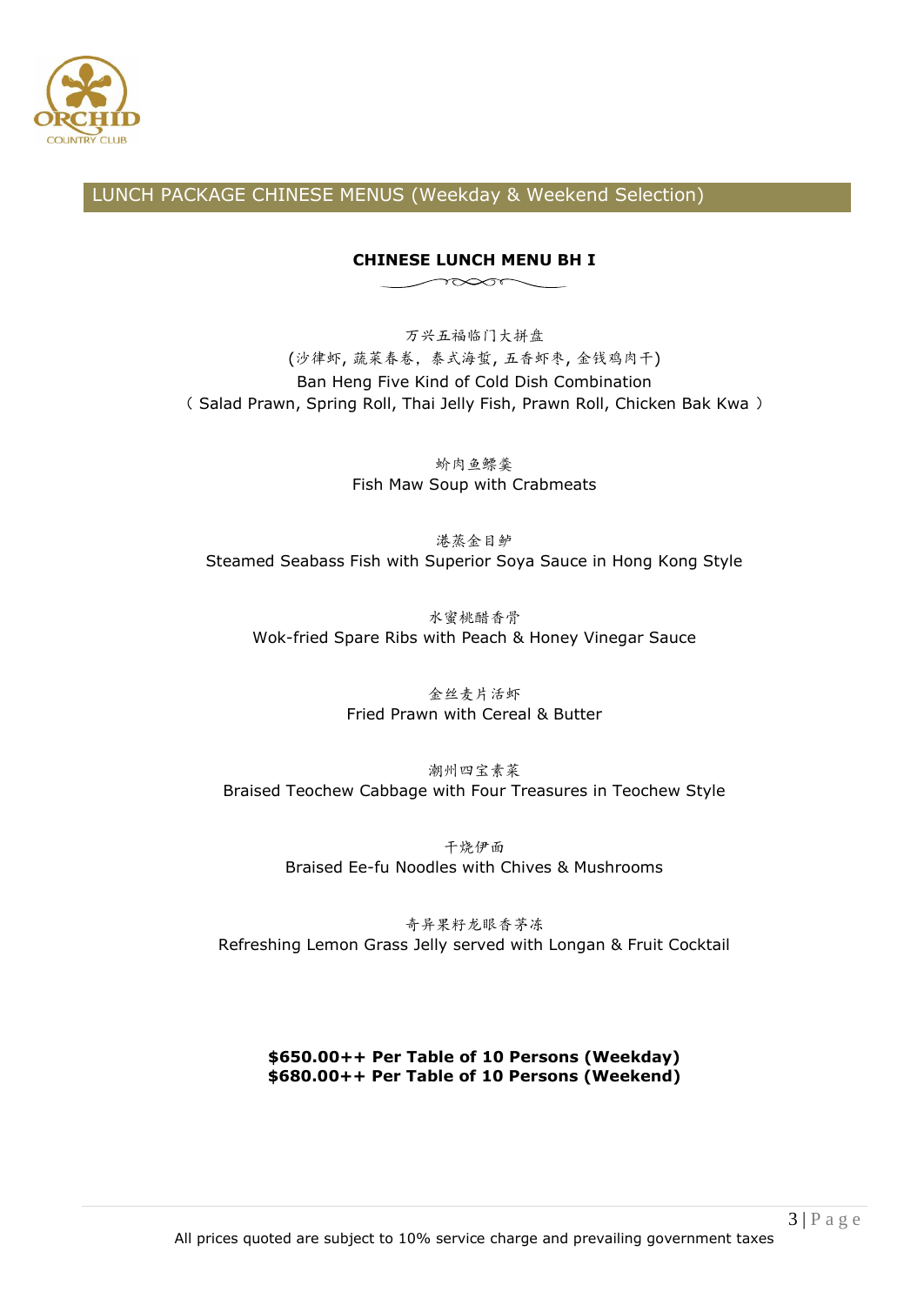

#### **CHINESE LUNCH MENU BH I**

 $\sim$ 

万兴五福临门大拼盘 (沙律虾, 蔬菜春卷,泰式海蜇, 五香虾枣, 金钱鸡肉干) Ban Heng Five Kind of Cold Dish Combination ( Salad Prawn, Spring Roll, Thai Jelly Fish, Prawn Roll, Chicken Bak Kwa )

> 蚧肉鱼鳔羹 Fish Maw Soup with Crabmeats

港蒸金目鲈 Steamed Seabass Fish with Superior Soya Sauce in Hong Kong Style

水蜜桃醋香骨 Wok-fried Spare Ribs with Peach & Honey Vinegar Sauce

> 金丝麦片活虾 Fried Prawn with Cereal & Butter

潮州四宝素菜 Braised Teochew Cabbage with Four Treasures in Teochew Style

> 干烧伊面 Braised Ee-fu Noodles with Chives & Mushrooms

奇异果籽龙眼香茅冻 Refreshing Lemon Grass Jelly served with Longan & Fruit Cocktail

**\$650.00++ Per Table of 10 Persons (Weekday) \$680.00++ Per Table of 10 Persons (Weekend)**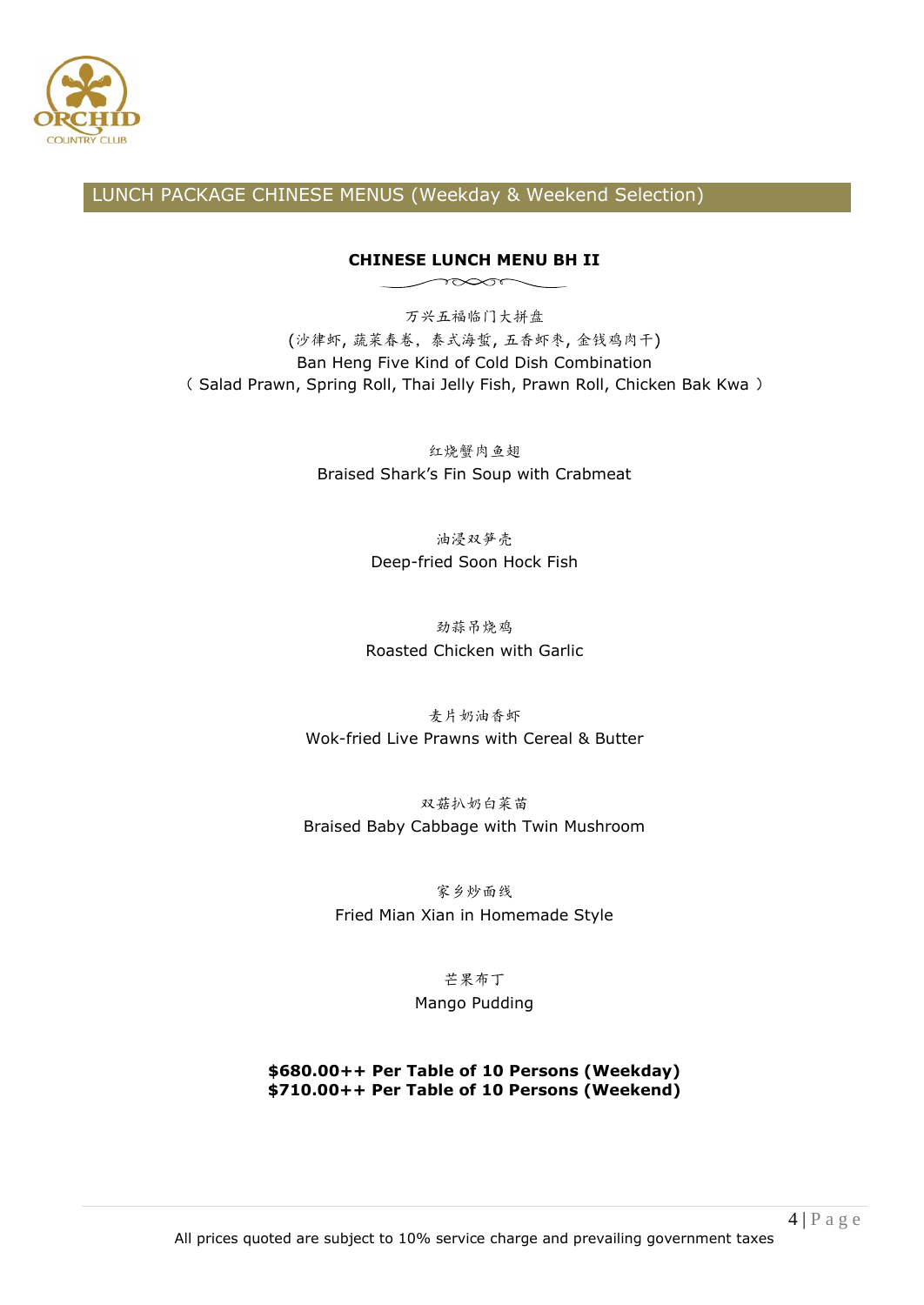

#### **CHINESE LUNCH MENU BH II**

 $\sim$ 

万兴五福临门大拼盘 (沙律虾, 蔬菜春卷,泰式海蜇, 五香虾枣, 金钱鸡肉干) Ban Heng Five Kind of Cold Dish Combination ( Salad Prawn, Spring Roll, Thai Jelly Fish, Prawn Roll, Chicken Bak Kwa )

> 红烧蟹肉鱼翅 Braised Shark's Fin Soup with Crabmeat

> > 油浸双笋壳 Deep-fried Soon Hock Fish

劲蒜吊烧鸡 Roasted Chicken with Garlic

麦片奶油香虾 Wok-fried Live Prawns with Cereal & Butter

双菇扒奶白菜苗 Braised Baby Cabbage with Twin Mushroom

家乡炒面线 Fried Mian Xian in Homemade Style

> 芒果布丁 Mango Pudding

**\$680.00++ Per Table of 10 Persons (Weekday) \$710.00++ Per Table of 10 Persons (Weekend)**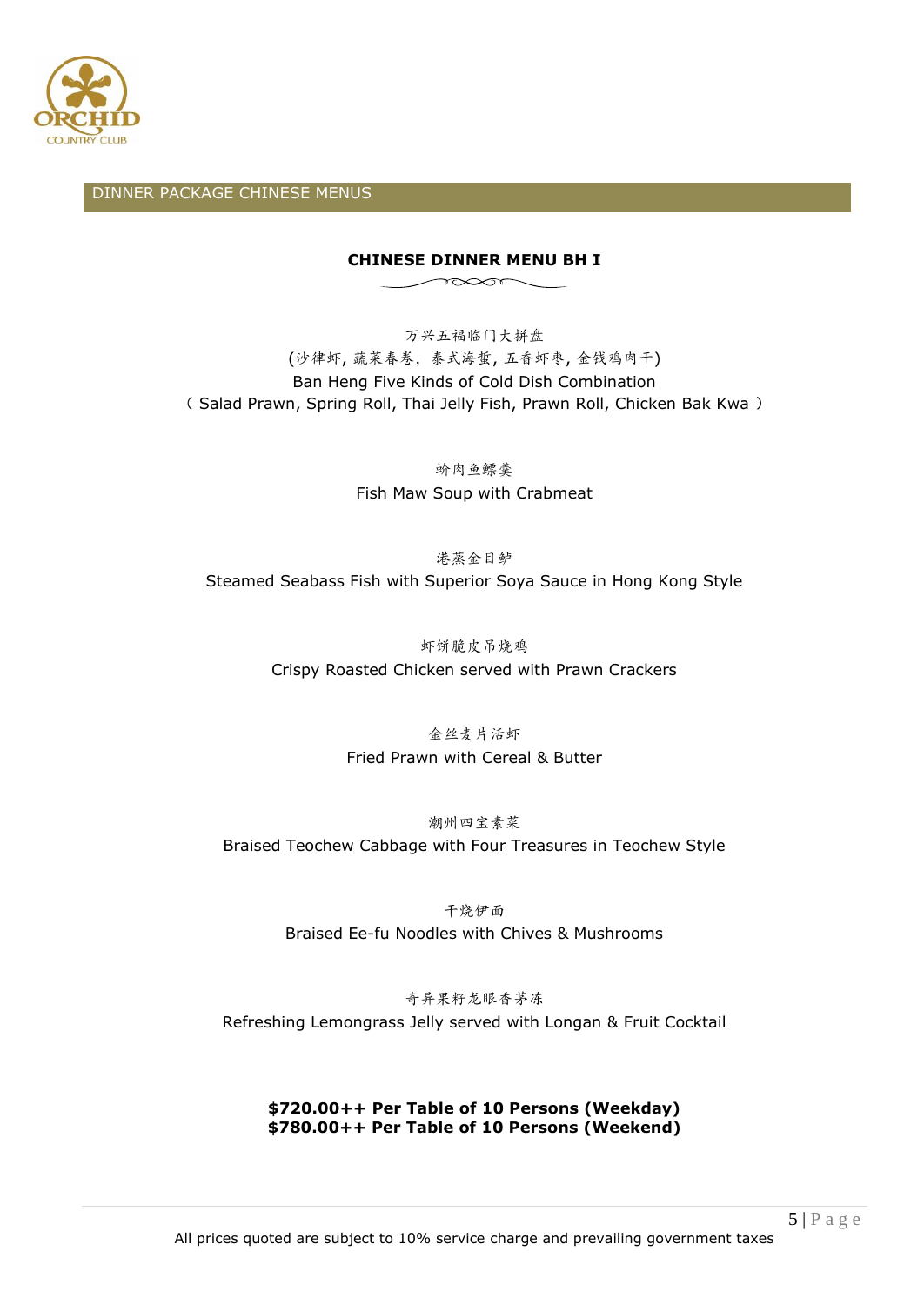

#### **CHINESE DINNER MENU BH I**

 $\sim$ 

万兴五福临门大拼盘 (沙律虾, 蔬菜春卷,泰式海蜇, 五香虾枣, 金钱鸡肉干) Ban Heng Five Kinds of Cold Dish Combination ( Salad Prawn, Spring Roll, Thai Jelly Fish, Prawn Roll, Chicken Bak Kwa )

> 蚧肉鱼鳔羹 Fish Maw Soup with Crabmeat

港蒸金目鲈 Steamed Seabass Fish with Superior Soya Sauce in Hong Kong Style

> 虾饼脆皮吊烧鸡 Crispy Roasted Chicken served with Prawn Crackers

> > 金丝麦片活虾 Fried Prawn with Cereal & Butter

潮州四宝素菜 Braised Teochew Cabbage with Four Treasures in Teochew Style

> 干烧伊面 Braised Ee-fu Noodles with Chives & Mushrooms

奇异果籽龙眼香茅冻 Refreshing Lemongrass Jelly served with Longan & Fruit Cocktail

**\$720.00++ Per Table of 10 Persons (Weekday) \$780.00++ Per Table of 10 Persons (Weekend)**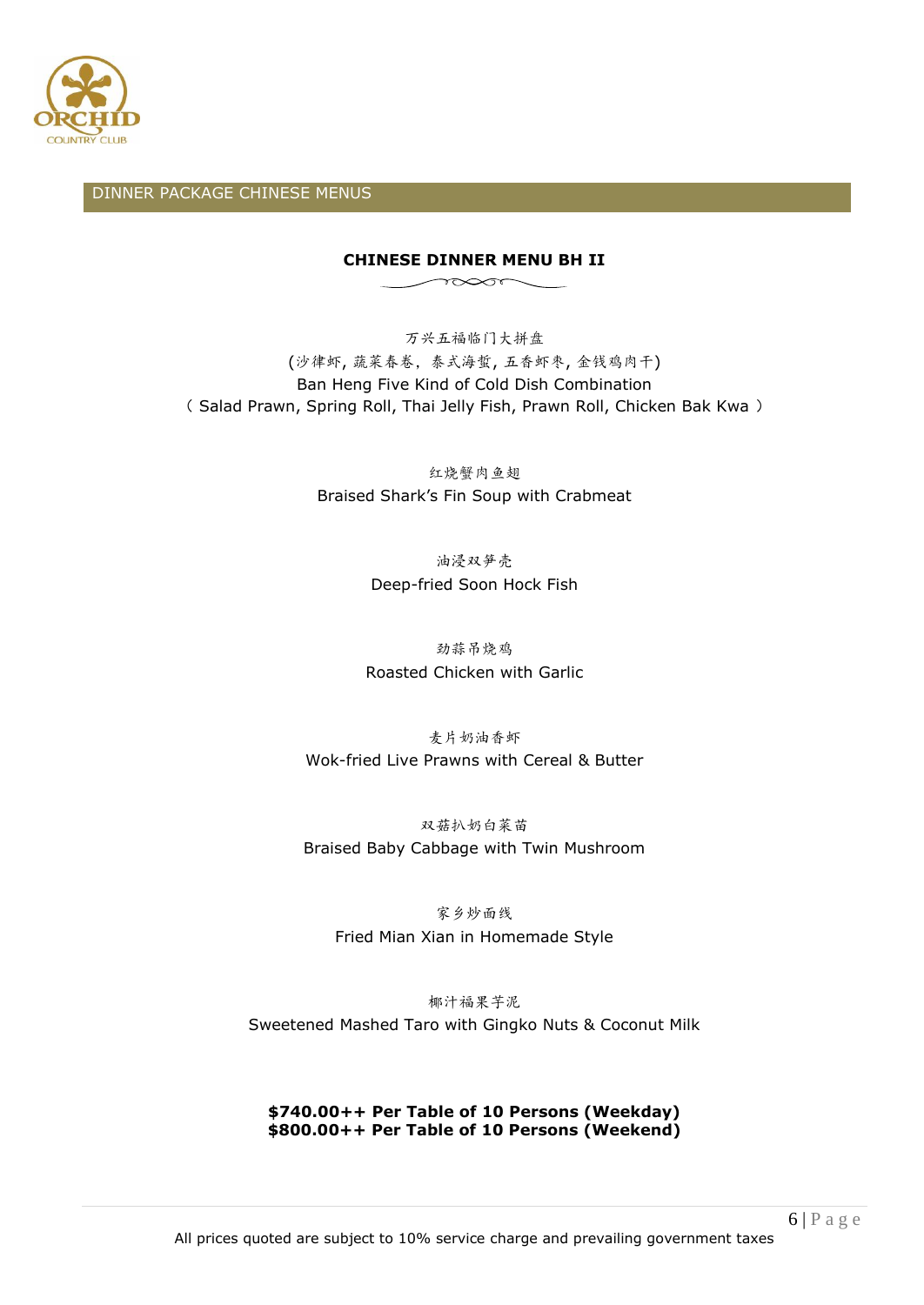

#### **CHINESE DINNER MENU BH II**

 $\longrightarrow$ 

万兴五福临门大拼盘 (沙律虾, 蔬菜春卷,泰式海蜇, 五香虾枣, 金钱鸡肉干) Ban Heng Five Kind of Cold Dish Combination ( Salad Prawn, Spring Roll, Thai Jelly Fish, Prawn Roll, Chicken Bak Kwa )

> 红烧蟹肉鱼翅 Braised Shark's Fin Soup with Crabmeat

> > 油浸双笋壳 Deep-fried Soon Hock Fish

劲蒜吊烧鸡 Roasted Chicken with Garlic

麦片奶油香虾 Wok-fried Live Prawns with Cereal & Butter

双菇扒奶白菜苗 Braised Baby Cabbage with Twin Mushroom

家乡炒面线 Fried Mian Xian in Homemade Style

椰汁福果芋泥 Sweetened Mashed Taro with Gingko Nuts & Coconut Milk

**\$740.00++ Per Table of 10 Persons (Weekday) \$800.00++ Per Table of 10 Persons (Weekend)**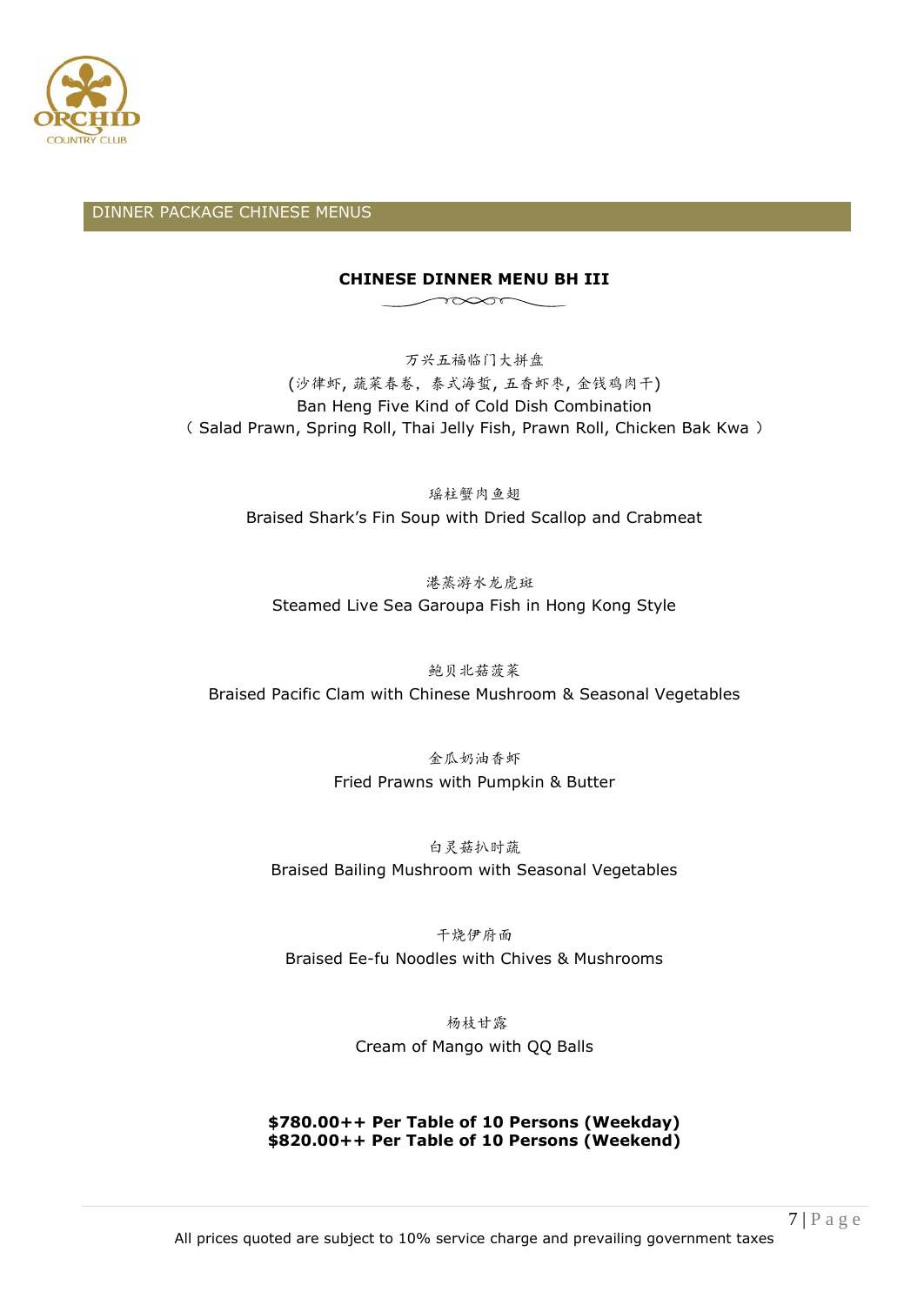

#### **CHINESE DINNER MENU BH III**

 $\sim$ 

万兴五福临门大拼盘 (沙律虾, 蔬菜春卷,泰式海蜇, 五香虾枣, 金钱鸡肉干) Ban Heng Five Kind of Cold Dish Combination ( Salad Prawn, Spring Roll, Thai Jelly Fish, Prawn Roll, Chicken Bak Kwa )

> 瑶柱蟹肉鱼翅 Braised Shark's Fin Soup with Dried Scallop and Crabmeat

港蒸游水龙虎斑 Steamed Live Sea Garoupa Fish in Hong Kong Style

鲍贝北菇菠菜 Braised Pacific Clam with Chinese Mushroom & Seasonal Vegetables

> 金瓜奶油香虾 Fried Prawns with Pumpkin & Butter

白灵菇扒时蔬 Braised Bailing Mushroom with Seasonal Vegetables

干烧伊府面 Braised Ee-fu Noodles with Chives & Mushrooms

> 杨枝甘露 Cream of Mango with QQ Balls

**\$780.00++ Per Table of 10 Persons (Weekday) \$820.00++ Per Table of 10 Persons (Weekend)**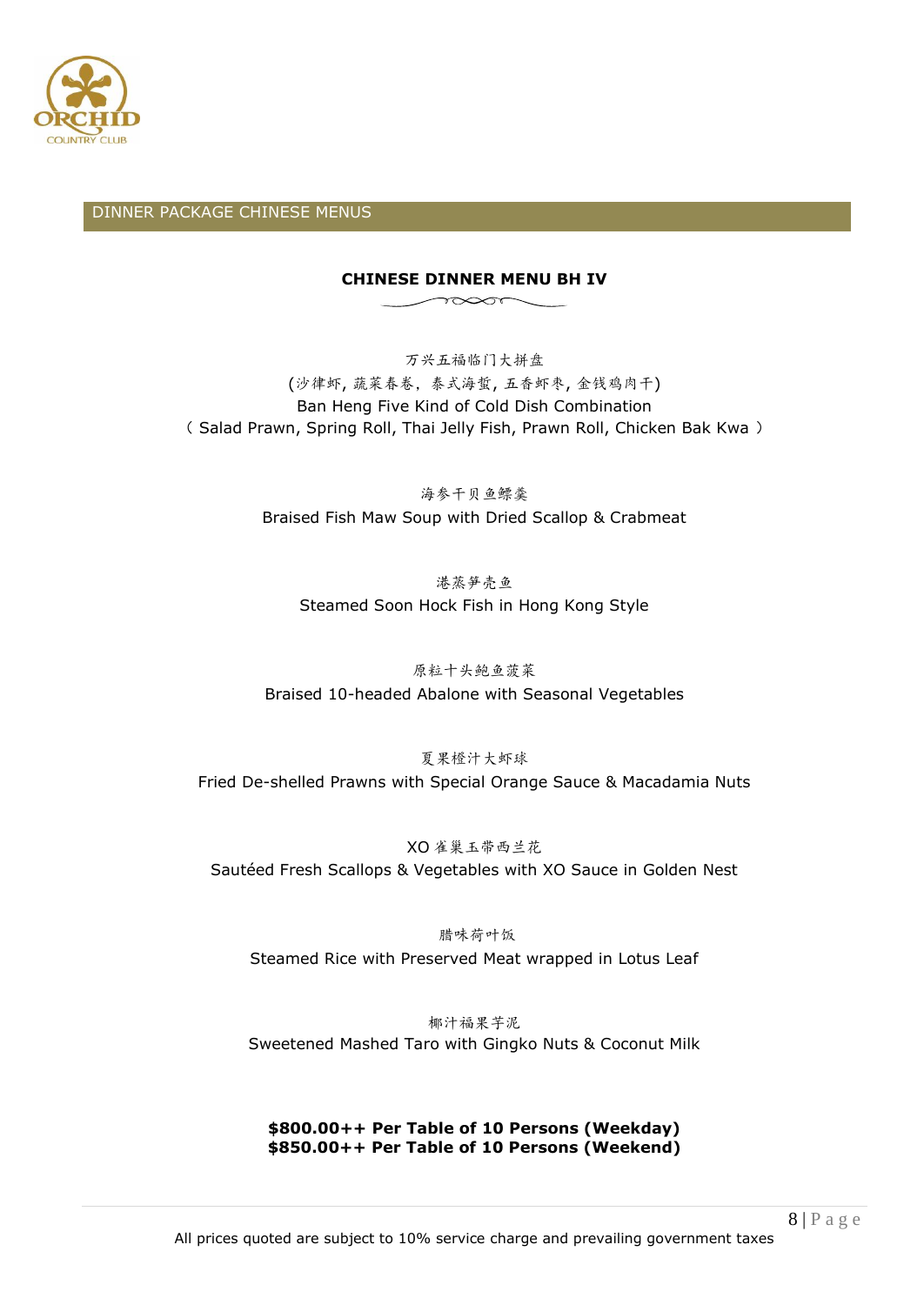

#### **CHINESE DINNER MENU BH IV**

 $\longrightarrow$ 

万兴五福临门大拼盘 (沙律虾, 蔬菜春卷,泰式海蜇, 五香虾枣, 金钱鸡肉干) Ban Heng Five Kind of Cold Dish Combination ( Salad Prawn, Spring Roll, Thai Jelly Fish, Prawn Roll, Chicken Bak Kwa )

> 海参干贝鱼鳔羹 Braised Fish Maw Soup with Dried Scallop & Crabmeat

港蒸笋壳鱼 Steamed Soon Hock Fish in Hong Kong Style

原粒十头鲍鱼菠菜 Braised 10-headed Abalone with Seasonal Vegetables

夏果橙汁大虾球 Fried De-shelled Prawns with Special Orange Sauce & Macadamia Nuts

XO 雀巢玉带西兰花 Sautéed Fresh Scallops & Vegetables with XO Sauce in Golden Nest

腊味荷叶饭 Steamed Rice with Preserved Meat wrapped in Lotus Leaf

椰汁福果芋泥 Sweetened Mashed Taro with Gingko Nuts & Coconut Milk

**\$800.00++ Per Table of 10 Persons (Weekday) \$850.00++ Per Table of 10 Persons (Weekend)**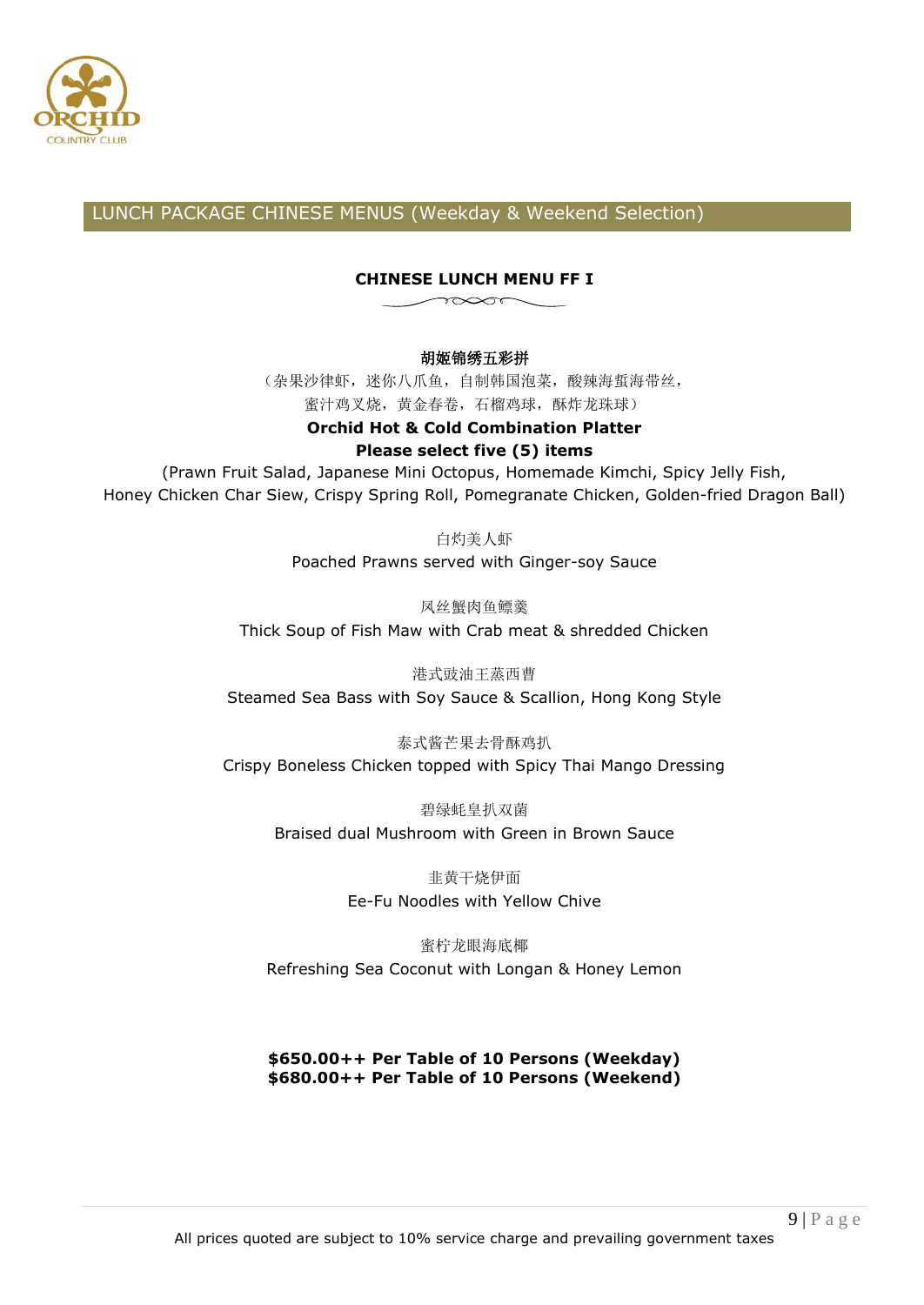

#### **CHINESE LUNCH MENU FF I**

 $\sim$ 

#### 胡姬锦绣五彩拼

(杂果沙律虾,迷你八爪鱼,自制韩国泡菜,酸辣海蜇海带丝, 蜜汁鸡叉烧,黄金春卷,石榴鸡球,酥炸龙珠球)

#### **Orchid Hot & Cold Combination Platter**

#### **Please select five (5) items**

(Prawn Fruit Salad, Japanese Mini Octopus, Homemade Kimchi, Spicy Jelly Fish, Honey Chicken Char Siew, Crispy Spring Roll, Pomegranate Chicken, Golden-fried Dragon Ball)

> 白灼美人虾 Poached Prawns served with Ginger-soy Sauce

凤丝蟹肉鱼鳔羹 Thick Soup of Fish Maw with Crab meat & shredded Chicken

港式豉油王蒸西曹 Steamed Sea Bass with Soy Sauce & Scallion, Hong Kong Style

泰式酱芒果去骨酥鸡扒 Crispy Boneless Chicken topped with Spicy Thai Mango Dressing

> 碧绿蚝皇扒双菌 Braised dual Mushroom with Green in Brown Sauce

> > 韭黄干烧伊面 Ee-Fu Noodles with Yellow Chive

蜜柠龙眼海底椰 Refreshing Sea Coconut with Longan & Honey Lemon

**\$650.00++ Per Table of 10 Persons (Weekday) \$680.00++ Per Table of 10 Persons (Weekend)**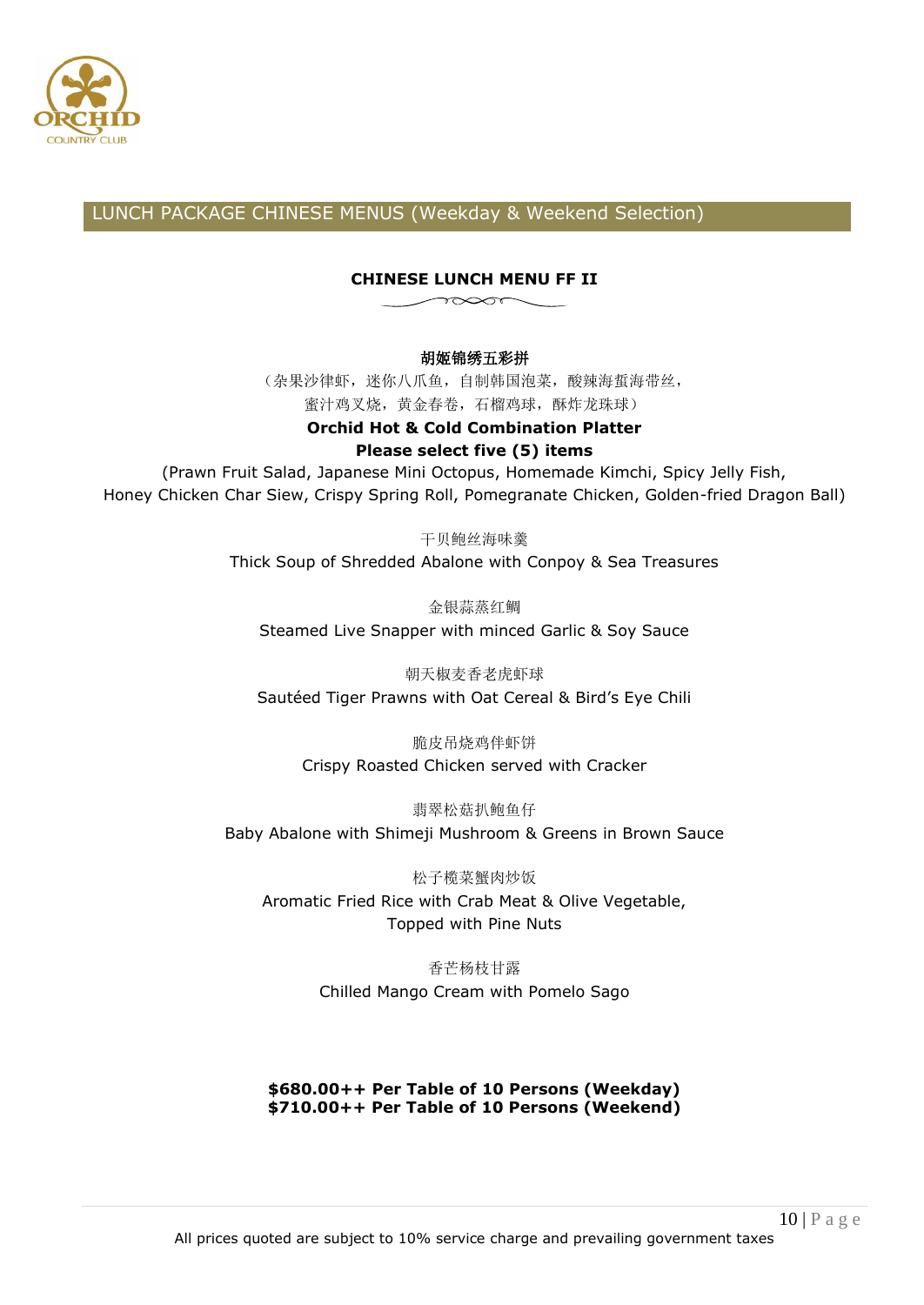

#### **CHINESE LUNCH MENU FF II**

 $\longrightarrow$ 

#### 胡姬锦绣五彩拼

(杂果沙律虾,迷你八爪鱼,自制韩国泡菜,酸辣海蜇海带丝, 蜜汁鸡叉烧,黄金春卷,石榴鸡球,酥炸龙珠球)

#### **Orchid Hot & Cold Combination Platter**

### **Please select five (5) items**

(Prawn Fruit Salad, Japanese Mini Octopus, Homemade Kimchi, Spicy Jelly Fish, Honey Chicken Char Siew, Crispy Spring Roll, Pomegranate Chicken, Golden-fried Dragon Ball)

> 干贝鲍丝海味羹 Thick Soup of Shredded Abalone with Conpoy & Sea Treasures

金银蒜蒸红鲷 Steamed Live Snapper with minced Garlic & Soy Sauce

朝天椒麦香老虎虾球 Sautéed Tiger Prawns with Oat Cereal & Bird's Eye Chili

脆皮吊烧鸡伴虾饼 Crispy Roasted Chicken served with Cracker

翡翠松菇扒鲍鱼仔 Baby Abalone with Shimeji Mushroom & Greens in Brown Sauce

松子榄菜蟹肉炒饭 Aromatic Fried Rice with Crab Meat & Olive Vegetable, Topped with Pine Nuts

> 香芒杨枝甘露 Chilled Mango Cream with Pomelo Sago

#### **\$680.00++ Per Table of 10 Persons (Weekday) \$710.00++ Per Table of 10 Persons (Weekend)**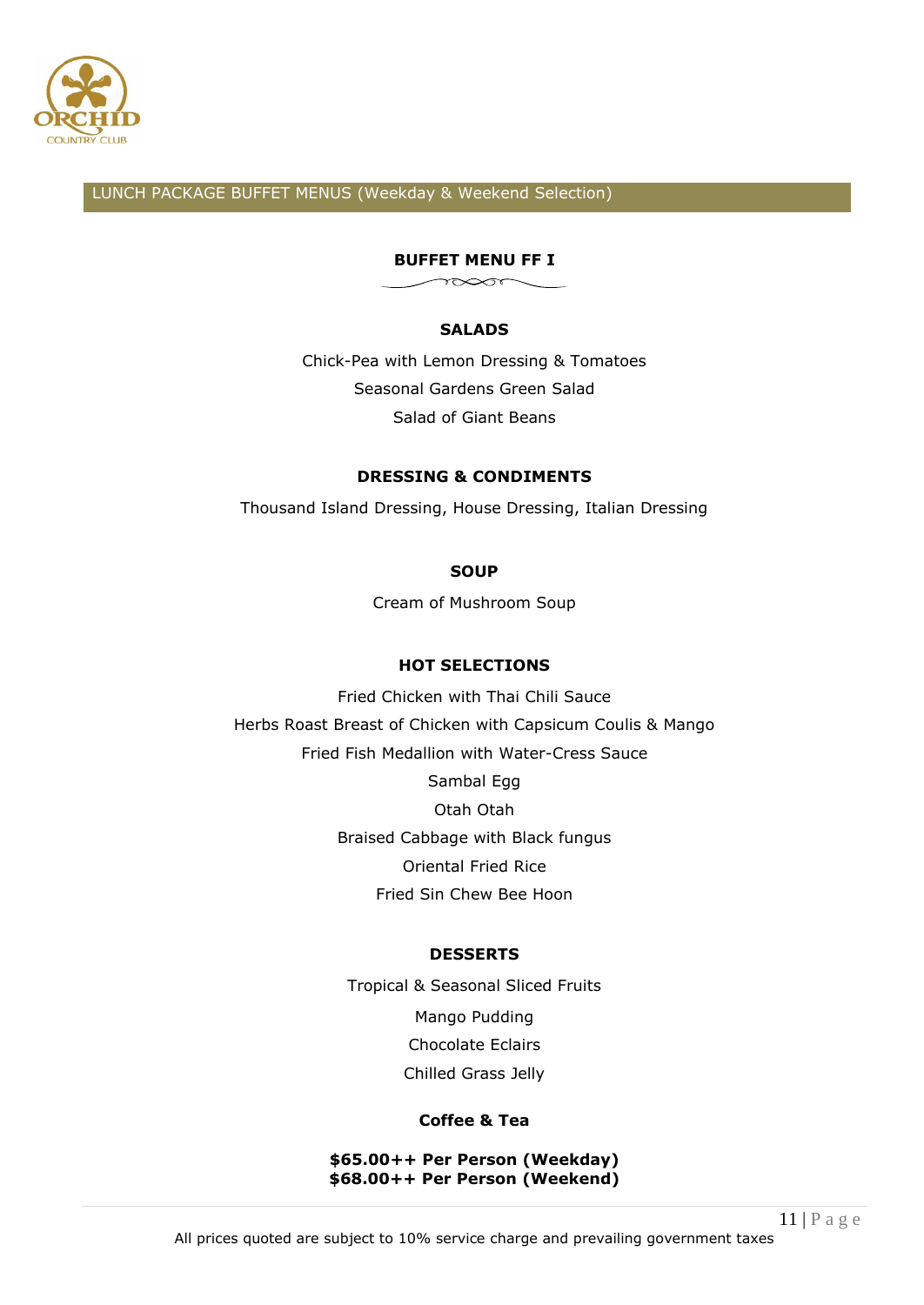

#### **BUFFET MENU FF I**

 $\sim$ 

#### **SALADS**

Chick-Pea with Lemon Dressing & Tomatoes Seasonal Gardens Green Salad Salad of Giant Beans

#### **DRESSING & CONDIMENTS**

Thousand Island Dressing, House Dressing, Italian Dressing

#### **SOUP**

Cream of Mushroom Soup

#### **HOT SELECTIONS**

Fried Chicken with Thai Chili Sauce Herbs Roast Breast of Chicken with Capsicum Coulis & Mango Fried Fish Medallion with Water-Cress Sauce Sambal Egg Otah Otah Braised Cabbage with Black fungus Oriental Fried Rice Fried Sin Chew Bee Hoon

#### **DESSERTS**

Tropical & Seasonal Sliced Fruits

Mango Pudding

Chocolate Eclairs

Chilled Grass Jelly

#### **Coffee & Tea**

**\$65.00++ Per Person (Weekday) \$68.00++ Per Person (Weekend)**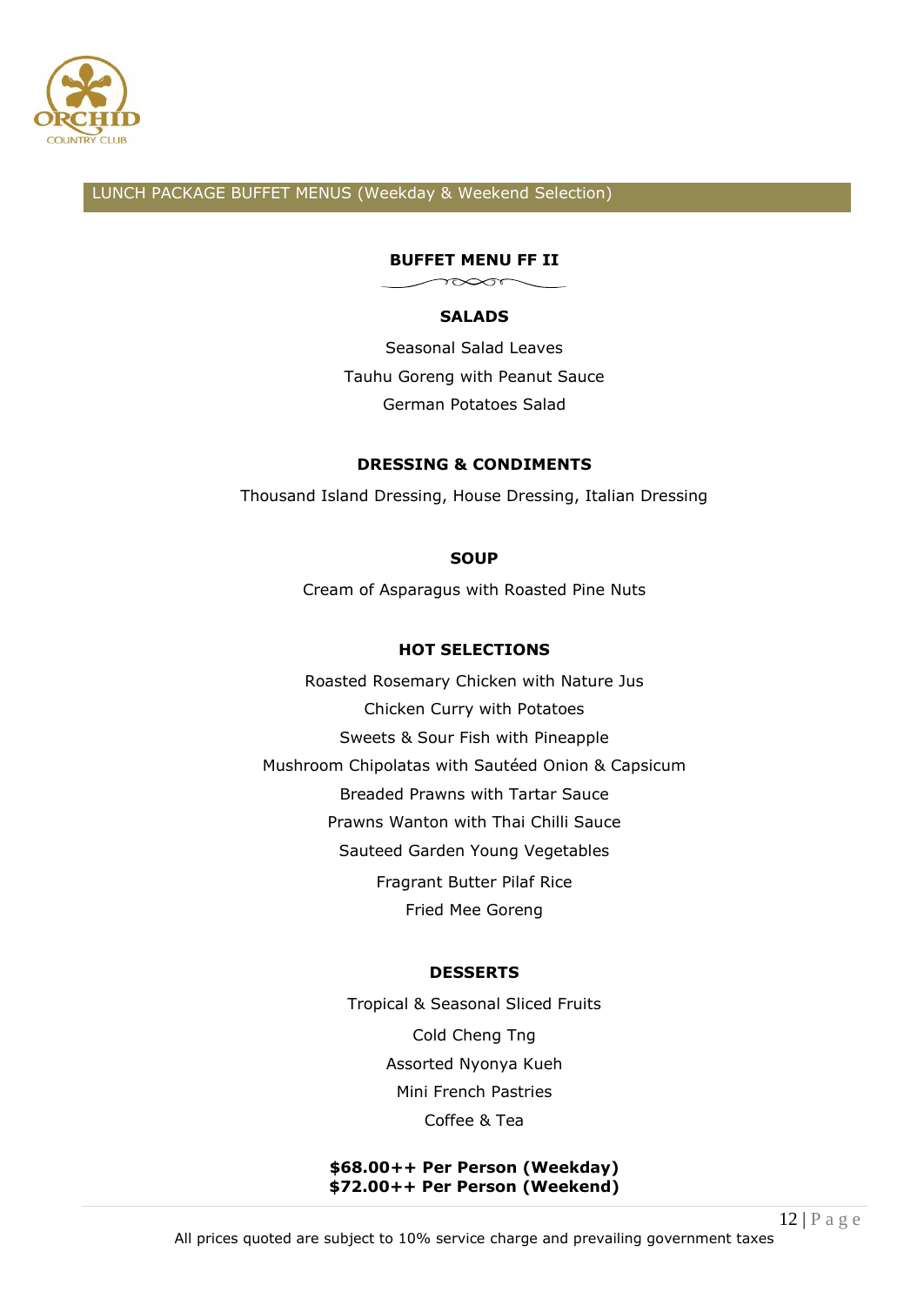

#### **BUFFET MENU FF II**

 $\sim$ 

#### **SALADS**

Seasonal Salad Leaves Tauhu Goreng with Peanut Sauce German Potatoes Salad

#### **DRESSING & CONDIMENTS**

Thousand Island Dressing, House Dressing, Italian Dressing

**SOUP**

Cream of Asparagus with Roasted Pine Nuts

#### **HOT SELECTIONS**

Roasted Rosemary Chicken with Nature Jus Chicken Curry with Potatoes Sweets & Sour Fish with Pineapple Mushroom Chipolatas with Sautéed Onion & Capsicum Breaded Prawns with Tartar Sauce Prawns Wanton with Thai Chilli Sauce Sauteed Garden Young Vegetables Fragrant Butter Pilaf Rice Fried Mee Goreng

#### **DESSERTS**

Tropical & Seasonal Sliced Fruits Cold Cheng Tng Assorted Nyonya Kueh Mini French Pastries Coffee & Tea

#### **\$68.00++ Per Person (Weekday) \$72.00++ Per Person (Weekend)**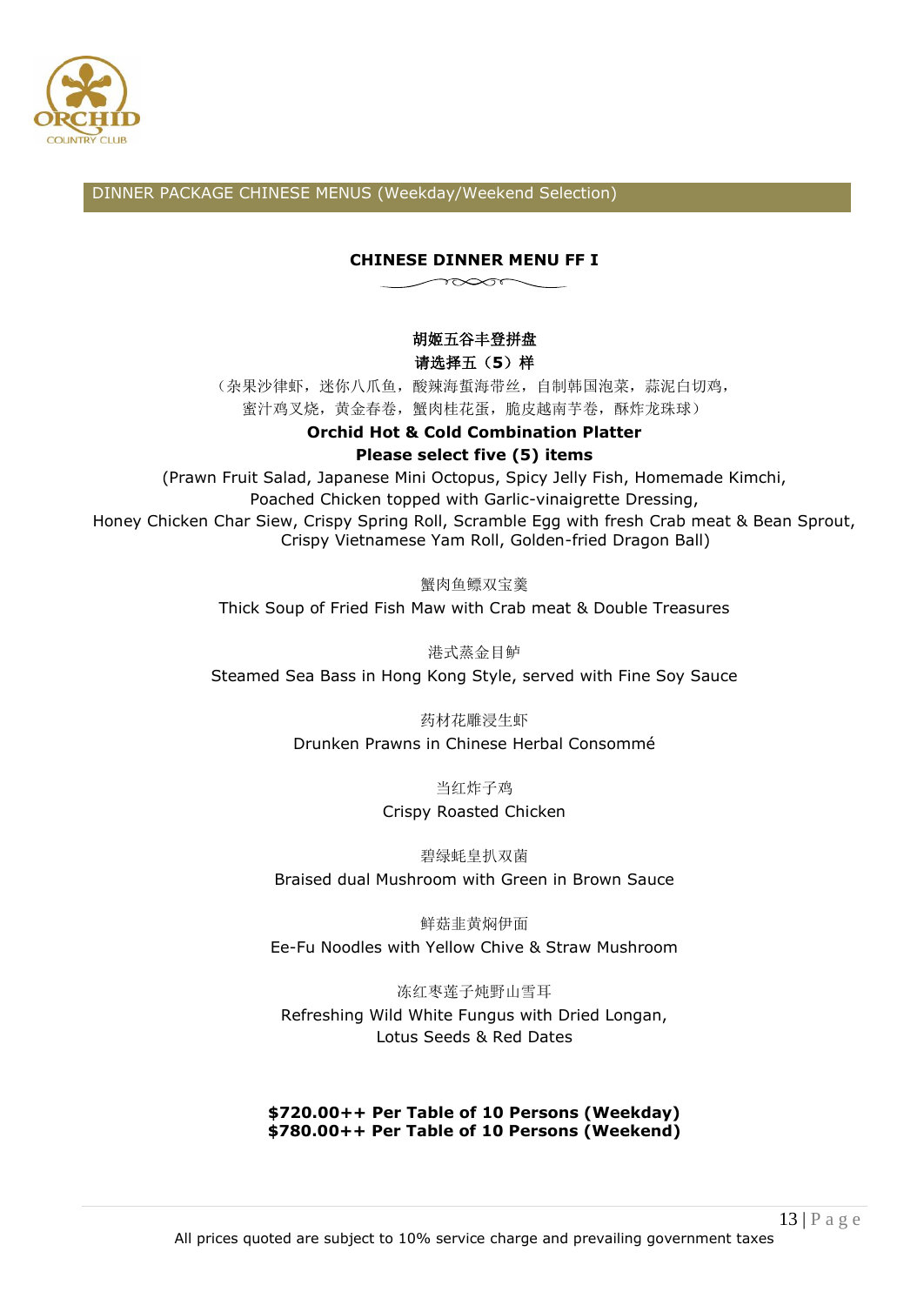

DINNER PACKAGE CHINESE MENUS (Weekday/Weekend Selection)

#### **CHINESE DINNER MENU FF I**   $\longrightarrow$

#### 胡姬五谷丰登拼盘

#### 请选择五(**5**)样

(杂果沙律虾,迷你八爪鱼,酸辣海蜇海带丝,自制韩国泡菜,蒜泥白切鸡, 蜜汁鸡叉烧,黄金春卷,蟹肉桂花蛋,脆皮越南芋卷,酥炸龙珠球)

#### **Orchid Hot & Cold Combination Platter Please select five (5) items**

(Prawn Fruit Salad, Japanese Mini Octopus, Spicy Jelly Fish, Homemade Kimchi, Poached Chicken topped with Garlic-vinaigrette Dressing, Honey Chicken Char Siew, Crispy Spring Roll, Scramble Egg with fresh Crab meat & Bean Sprout, Crispy Vietnamese Yam Roll, Golden-fried Dragon Ball)

#### 蟹肉鱼鳔双宝羹

Thick Soup of Fried Fish Maw with Crab meat & Double Treasures

港式蒸金目鲈

Steamed Sea Bass in Hong Kong Style, served with Fine Soy Sauce

药材花雕浸生虾 Drunken Prawns in Chinese Herbal Consommé

当红炸子鸡

#### Crispy Roasted Chicken

碧绿蚝皇扒双菌 Braised dual Mushroom with Green in Brown Sauce

鲜菇韭黄焖伊面 Ee-Fu Noodles with Yellow Chive & Straw Mushroom

冻红枣莲子炖野山雪耳 Refreshing Wild White Fungus with Dried Longan, Lotus Seeds & Red Dates

#### **\$720.00++ Per Table of 10 Persons (Weekday) \$780.00++ Per Table of 10 Persons (Weekend)**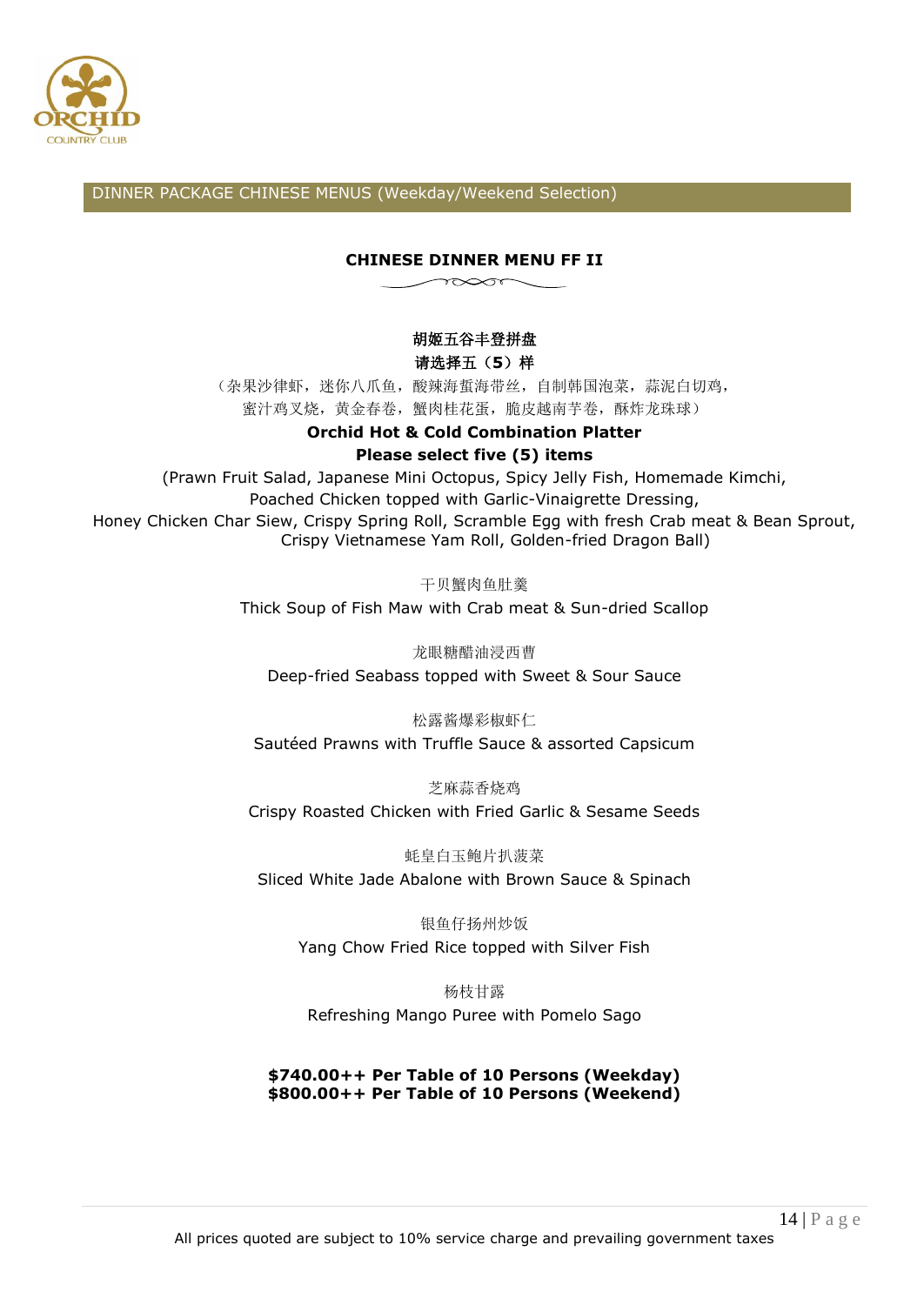

DINNER PACKAGE CHINESE MENUS (Weekday/Weekend Selection)

#### **CHINESE DINNER MENU FF II**

 $\sim$ 

#### 胡姬五谷丰登拼盘

#### 请选择五(**5**)样

(杂果沙律虾,迷你八爪鱼,酸辣海蜇海带丝,自制韩国泡菜,蒜泥白切鸡, 蜜汁鸡叉烧,黄金春卷,蟹肉桂花蛋,脆皮越南芋卷,酥炸龙珠球)

#### **Orchid Hot & Cold Combination Platter Please select five (5) items**

(Prawn Fruit Salad, Japanese Mini Octopus, Spicy Jelly Fish, Homemade Kimchi, Poached Chicken topped with Garlic-Vinaigrette Dressing, Honey Chicken Char Siew, Crispy Spring Roll, Scramble Egg with fresh Crab meat & Bean Sprout, Crispy Vietnamese Yam Roll, Golden-fried Dragon Ball)

#### 干贝蟹肉鱼肚羹

Thick Soup of Fish Maw with Crab meat & Sun-dried Scallop

龙眼糖醋油浸西曹 Deep-fried Seabass topped with Sweet & Sour Sauce

#### 松露酱爆彩椒虾仁

Sautéed Prawns with Truffle Sauce & assorted Capsicum

芝麻蒜香烧鸡

Crispy Roasted Chicken with Fried Garlic & Sesame Seeds

蚝皇白玉鲍片扒菠菜 Sliced White Jade Abalone with Brown Sauce & Spinach

银鱼仔扬州炒饭 Yang Chow Fried Rice topped with Silver Fish

杨枝甘露 Refreshing Mango Puree with Pomelo Sago

#### **\$740.00++ Per Table of 10 Persons (Weekday) \$800.00++ Per Table of 10 Persons (Weekend)**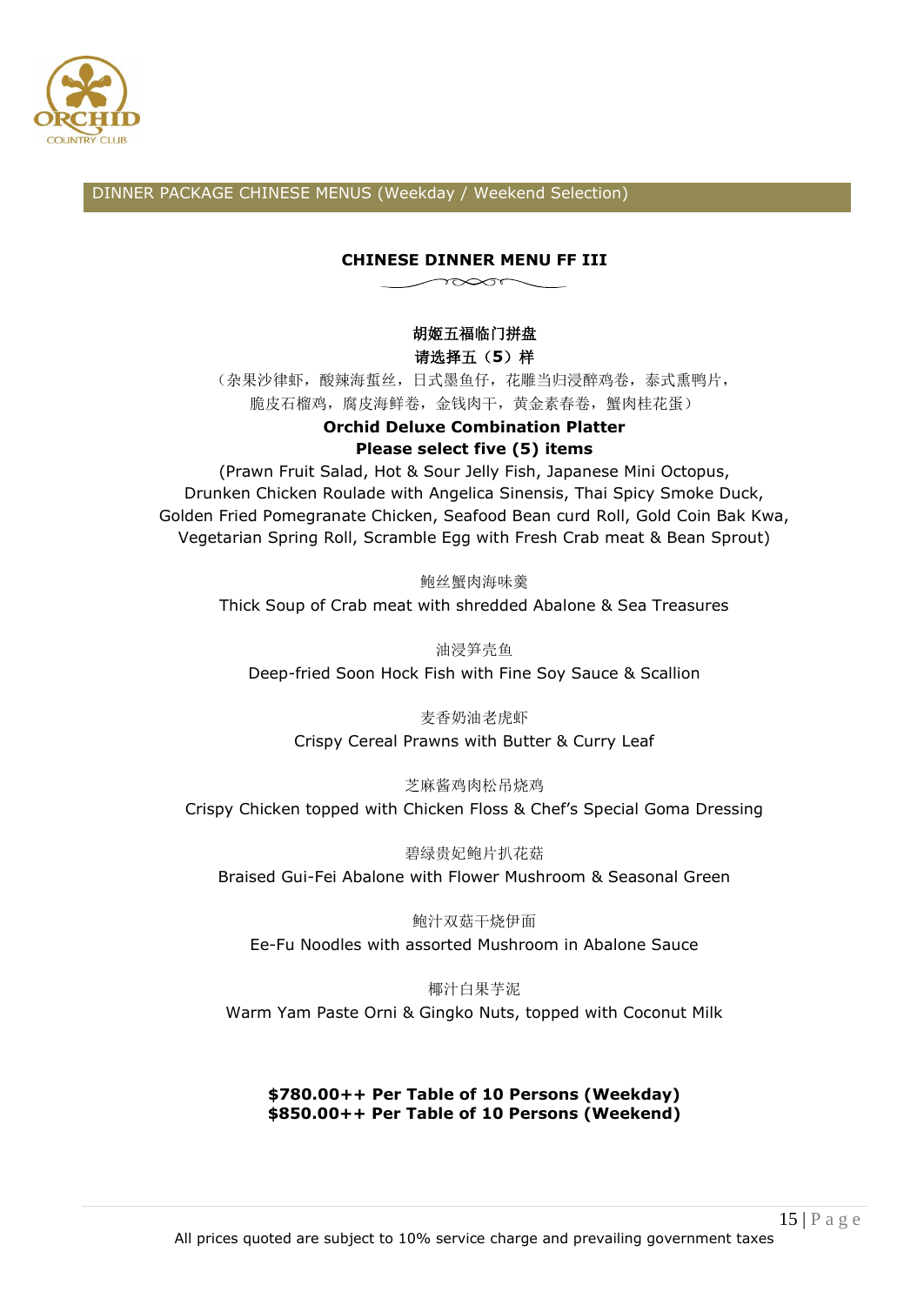

#### **CHINESE DINNER MENU FF III**

 $\longrightarrow$ 

#### 胡姬五福临门拼盘

#### 请选择五(**5**)样

(杂果沙律虾,酸辣海蜇丝,日式墨鱼仔,花雕当归浸醉鸡卷,泰式熏鸭片, 脆皮石榴鸡,腐皮海鲜卷,金钱肉干,黄金素春卷,蟹肉桂花蛋)

## **Orchid Deluxe Combination Platter**

#### **Please select five (5) items**

(Prawn Fruit Salad, Hot & Sour Jelly Fish, Japanese Mini Octopus, Drunken Chicken Roulade with Angelica Sinensis, Thai Spicy Smoke Duck, Golden Fried Pomegranate Chicken, Seafood Bean curd Roll, Gold Coin Bak Kwa, Vegetarian Spring Roll, Scramble Egg with Fresh Crab meat & Bean Sprout)

#### 鲍丝蟹肉海味羹

Thick Soup of Crab meat with shredded Abalone & Sea Treasures

油浸笋壳鱼 Deep-fried Soon Hock Fish with Fine Soy Sauce & Scallion

#### 麦香奶油老虎虾 Crispy Cereal Prawns with Butter & Curry Leaf

#### 芝麻酱鸡肉松吊烧鸡 Crispy Chicken topped with Chicken Floss & Chef's Special Goma Dressing

碧绿贵妃鲍片扒花菇 Braised Gui-Fei Abalone with Flower Mushroom & Seasonal Green

鲍汁双菇干烧伊面 Ee-Fu Noodles with assorted Mushroom in Abalone Sauce

椰汁白果芋泥 Warm Yam Paste Orni & Gingko Nuts, topped with Coconut Milk

#### **\$780.00++ Per Table of 10 Persons (Weekday) \$850.00++ Per Table of 10 Persons (Weekend)**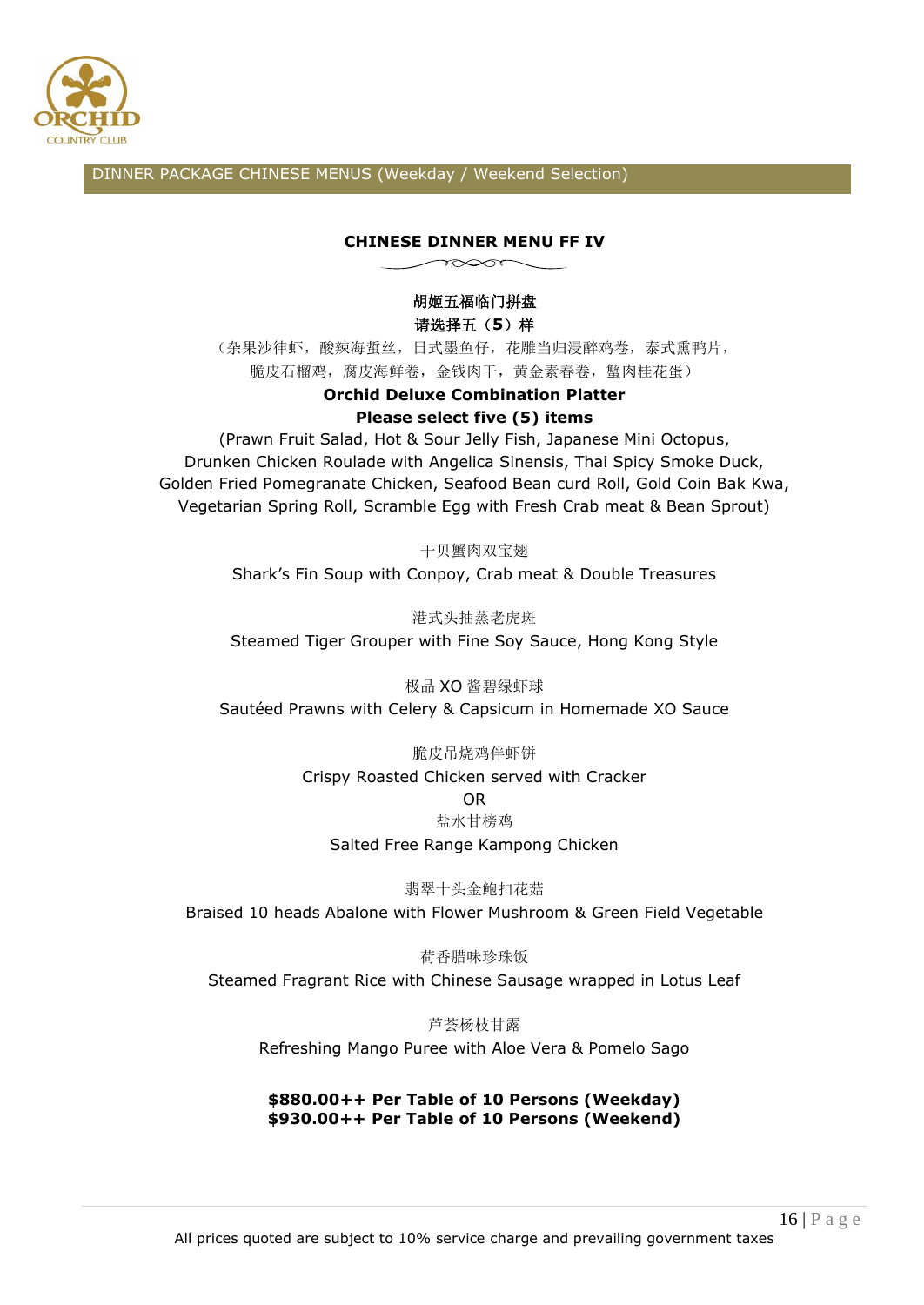

#### **CHINESE DINNER MENU FF IV**

 $\longrightarrow$ 

#### 胡姬五福临门拼盘 请选择五(**5**)样

(杂果沙律虾,酸辣海蜇丝,日式墨鱼仔,花雕当归浸醉鸡卷,泰式熏鸭片, 脆皮石榴鸡,腐皮海鲜卷,金钱肉干,黄金素春卷,蟹肉桂花蛋)

#### **Orchid Deluxe Combination Platter Please select five (5) items**

(Prawn Fruit Salad, Hot & Sour Jelly Fish, Japanese Mini Octopus, Drunken Chicken Roulade with Angelica Sinensis, Thai Spicy Smoke Duck, Golden Fried Pomegranate Chicken, Seafood Bean curd Roll, Gold Coin Bak Kwa, Vegetarian Spring Roll, Scramble Egg with Fresh Crab meat & Bean Sprout)

> 干贝蟹肉双宝翅 Shark's Fin Soup with Conpoy, Crab meat & Double Treasures

> 港式头抽蒸老虎斑 Steamed Tiger Grouper with Fine Soy Sauce, Hong Kong Style

极品 XO 酱碧绿虾球 Sautéed Prawns with Celery & Capsicum in Homemade XO Sauce

脆皮吊烧鸡伴虾饼

Crispy Roasted Chicken served with Cracker

#### OR

盐水甘榜鸡

Salted Free Range Kampong Chicken

翡翠十头金鲍扣花菇 Braised 10 heads Abalone with Flower Mushroom & Green Field Vegetable

荷香腊味珍珠饭 Steamed Fragrant Rice with Chinese Sausage wrapped in Lotus Leaf

芦荟杨枝甘露 Refreshing Mango Puree with Aloe Vera & Pomelo Sago

#### **\$880.00++ Per Table of 10 Persons (Weekday) \$930.00++ Per Table of 10 Persons (Weekend)**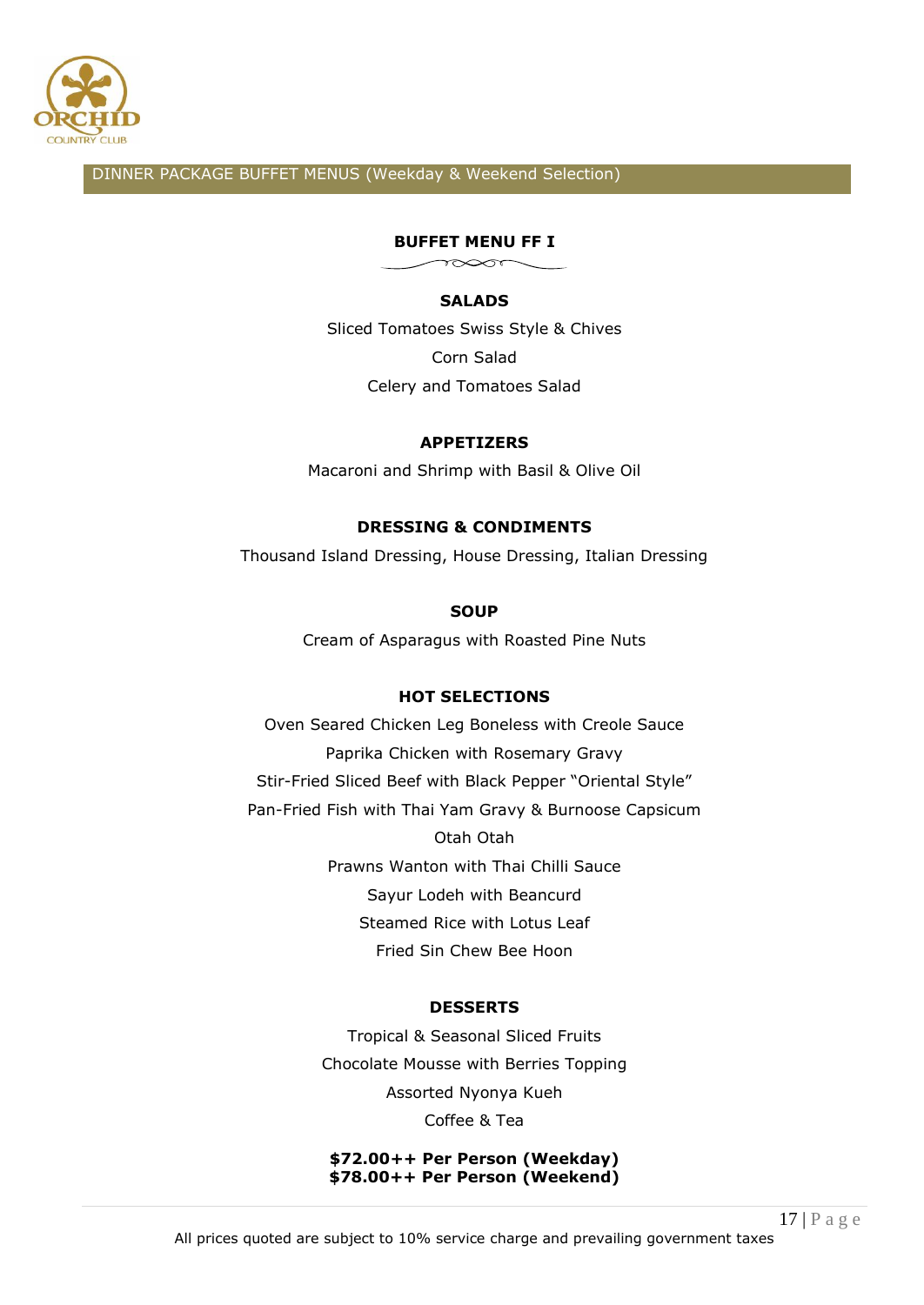

DINNER PACKAGE BUFFET MENUS (Weekday & Weekend Selection)

**BUFFET MENU FF I** 

 $\sim$ 

#### **SALADS**

Sliced Tomatoes Swiss Style & Chives Corn Salad Celery and Tomatoes Salad

#### **APPETIZERS**

Macaroni and Shrimp with Basil & Olive Oil

#### **DRESSING & CONDIMENTS**

Thousand Island Dressing, House Dressing, Italian Dressing

#### **SOUP**

Cream of Asparagus with Roasted Pine Nuts

#### **HOT SELECTIONS**

Oven Seared Chicken Leg Boneless with Creole Sauce Paprika Chicken with Rosemary Gravy Stir-Fried Sliced Beef with Black Pepper "Oriental Style" Pan-Fried Fish with Thai Yam Gravy & Burnoose Capsicum Otah Otah Prawns Wanton with Thai Chilli Sauce Sayur Lodeh with Beancurd Steamed Rice with Lotus Leaf Fried Sin Chew Bee Hoon

#### **DESSERTS**

Tropical & Seasonal Sliced Fruits Chocolate Mousse with Berries Topping Assorted Nyonya Kueh Coffee & Tea

**\$72.00++ Per Person (Weekday) \$78.00++ Per Person (Weekend)**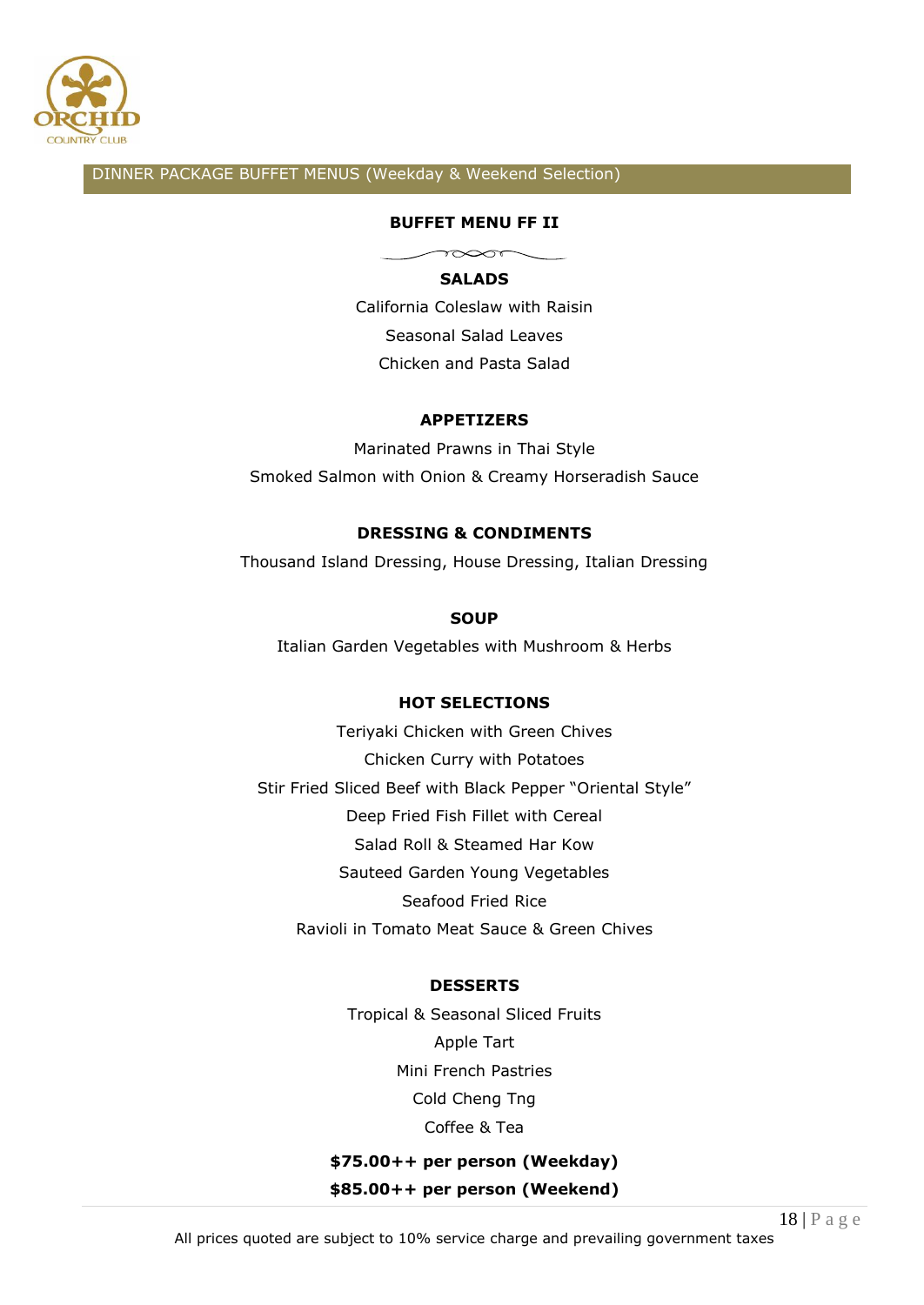

DINNER PACKAGE BUFFET MENUS (Weekday & Weekend Selection)

#### **BUFFET MENU FF II**

 $\sim$ 

#### **SALADS**

California Coleslaw with Raisin Seasonal Salad Leaves Chicken and Pasta Salad

#### **APPETIZERS**

Marinated Prawns in Thai Style Smoked Salmon with Onion & Creamy Horseradish Sauce

#### **DRESSING & CONDIMENTS**

Thousand Island Dressing, House Dressing, Italian Dressing

**SOUP**

Italian Garden Vegetables with Mushroom & Herbs

#### **HOT SELECTIONS**

Teriyaki Chicken with Green Chives Chicken Curry with Potatoes Stir Fried Sliced Beef with Black Pepper "Oriental Style" Deep Fried Fish Fillet with Cereal Salad Roll & Steamed Har Kow Sauteed Garden Young Vegetables Seafood Fried Rice Ravioli in Tomato Meat Sauce & Green Chives

#### **DESSERTS**

Tropical & Seasonal Sliced Fruits Apple Tart Mini French Pastries Cold Cheng Tng Coffee & Tea

**\$75.00++ per person (Weekday) \$85.00++ per person (Weekend)**